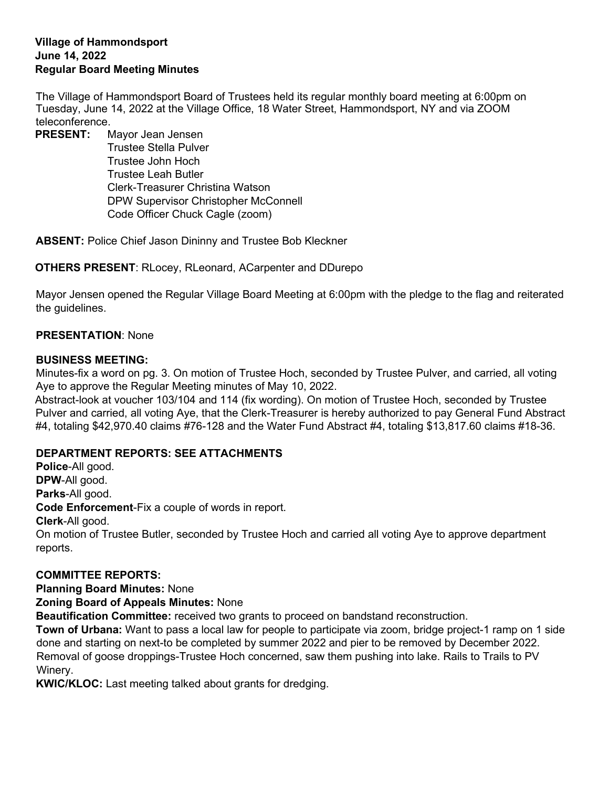### **Village of Hammondsport June 14, 2022 Regular Board Meeting Minutes**

The Village of Hammondsport Board of Trustees held its regular monthly board meeting at 6:00pm on Tuesday, June 14, 2022 at the Village Office, 18 Water Street, Hammondsport, NY and via ZOOM teleconference.

**PRESENT:** Mayor Jean Jensen Trustee Stella Pulver Trustee John Hoch Trustee Leah Butler Clerk-Treasurer Christina Watson DPW Supervisor Christopher McConnell Code Officer Chuck Cagle (zoom)

**ABSENT:** Police Chief Jason Dininny and Trustee Bob Kleckner

**OTHERS PRESENT**: RLocey, RLeonard, ACarpenter and DDurepo

Mayor Jensen opened the Regular Village Board Meeting at 6:00pm with the pledge to the flag and reiterated the guidelines.

## **PRESENTATION**: None

## **BUSINESS MEETING:**

Minutes-fix a word on pg. 3. On motion of Trustee Hoch, seconded by Trustee Pulver, and carried, all voting Aye to approve the Regular Meeting minutes of May 10, 2022.

Abstract-look at voucher 103/104 and 114 (fix wording). On motion of Trustee Hoch, seconded by Trustee Pulver and carried, all voting Aye, that the Clerk-Treasurer is hereby authorized to pay General Fund Abstract #4, totaling \$42,970.40 claims #76-128 and the Water Fund Abstract #4, totaling \$13,817.60 claims #18-36.

# **DEPARTMENT REPORTS: SEE ATTACHMENTS**

**Police**-All good. **DPW**-All good. **Parks**-All good. **Code Enforcement**-Fix a couple of words in report. **Clerk**-All good. On motion of Trustee Butler, seconded by Trustee Hoch and carried all voting Aye to approve department reports.

# **COMMITTEE REPORTS:**

**Planning Board Minutes:** None

**Zoning Board of Appeals Minutes:** None

**Beautification Committee:** received two grants to proceed on bandstand reconstruction.

**Town of Urbana:** Want to pass a local law for people to participate via zoom, bridge project-1 ramp on 1 side done and starting on next-to be completed by summer 2022 and pier to be removed by December 2022. Removal of goose droppings-Trustee Hoch concerned, saw them pushing into lake. Rails to Trails to PV Winery.

**KWIC/KLOC:** Last meeting talked about grants for dredging.